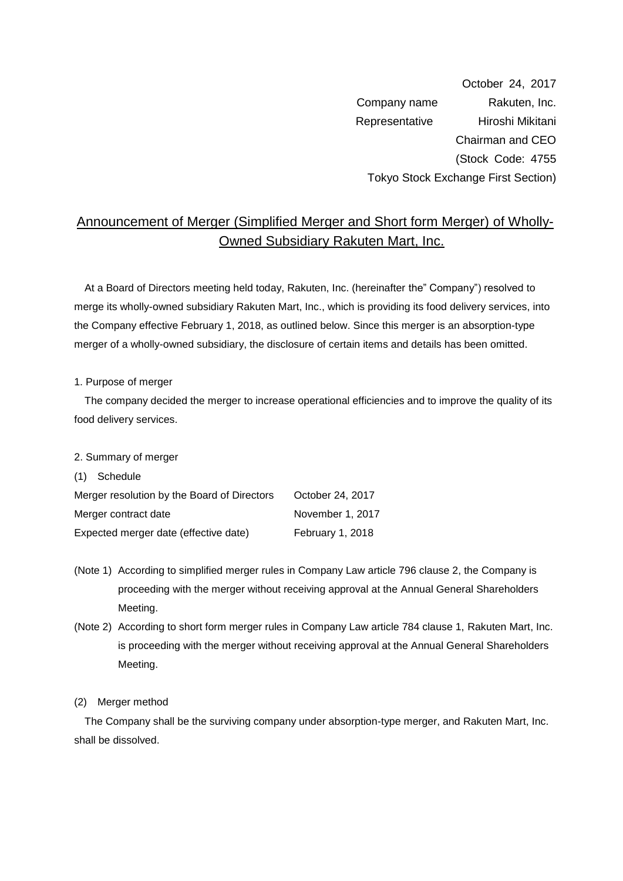October 24, 2017 Company name Rakuten, Inc. Representative Hiroshi Mikitani Chairman and CEO (Stock Code: 4755 Tokyo Stock Exchange First Section)

# Announcement of Merger (Simplified Merger and Short form Merger) of Wholly-Owned Subsidiary Rakuten Mart, Inc.

At a Board of Directors meeting held today, Rakuten, Inc. (hereinafter the" Company") resolved to merge its wholly-owned subsidiary Rakuten Mart, Inc., which is providing its food delivery services, into the Company effective February 1, 2018, as outlined below. Since this merger is an absorption-type merger of a wholly-owned subsidiary, the disclosure of certain items and details has been omitted.

1. Purpose of merger

The company decided the merger to increase operational efficiencies and to improve the quality of its food delivery services.

2. Summary of merger

(1) Schedule

| Merger resolution by the Board of Directors | October 24, 2017 |
|---------------------------------------------|------------------|
| Merger contract date                        | November 1, 2017 |
| Expected merger date (effective date)       | February 1, 2018 |

- (Note 1) According to simplified merger rules in Company Law article 796 clause 2, the Company is proceeding with the merger without receiving approval at the Annual General Shareholders Meeting.
- (Note 2) According to short form merger rules in Company Law article 784 clause 1, Rakuten Mart, Inc. is proceeding with the merger without receiving approval at the Annual General Shareholders Meeting.

### (2) Merger method

The Company shall be the surviving company under absorption-type merger, and Rakuten Mart, Inc. shall be dissolved.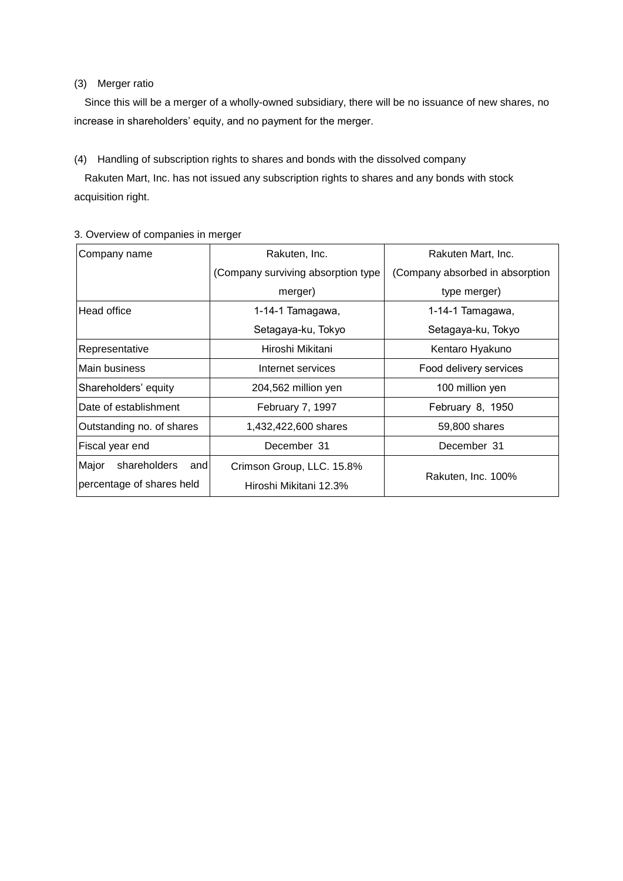### (3) Merger ratio

Since this will be a merger of a wholly-owned subsidiary, there will be no issuance of new shares, no increase in shareholders' equity, and no payment for the merger.

### (4) Handling of subscription rights to shares and bonds with the dissolved company

Rakuten Mart, Inc. has not issued any subscription rights to shares and any bonds with stock acquisition right.

| Company name                 | Rakuten, Inc.                      | Rakuten Mart, Inc.              |  |
|------------------------------|------------------------------------|---------------------------------|--|
|                              | (Company surviving absorption type | (Company absorbed in absorption |  |
|                              | merger)                            | type merger)                    |  |
| Head office                  | 1-14-1 Tamagawa,                   | 1-14-1 Tamagawa,                |  |
|                              | Setagaya-ku, Tokyo                 | Setagaya-ku, Tokyo              |  |
| Representative               | Hiroshi Mikitani                   | Kentaro Hyakuno                 |  |
| Main business                | Internet services                  | Food delivery services          |  |
| Shareholders' equity         | 204,562 million yen                | 100 million yen                 |  |
| Date of establishment        | February 7, 1997                   | February 8, 1950                |  |
| Outstanding no. of shares    | 1,432,422,600 shares               | 59,800 shares                   |  |
| Fiscal year end              | December 31                        | December 31                     |  |
| Major<br>shareholders<br>and | Crimson Group, LLC. 15.8%          | Rakuten, Inc. 100%              |  |
| percentage of shares held    | Hiroshi Mikitani 12.3%             |                                 |  |

## 3. Overview of companies in merger